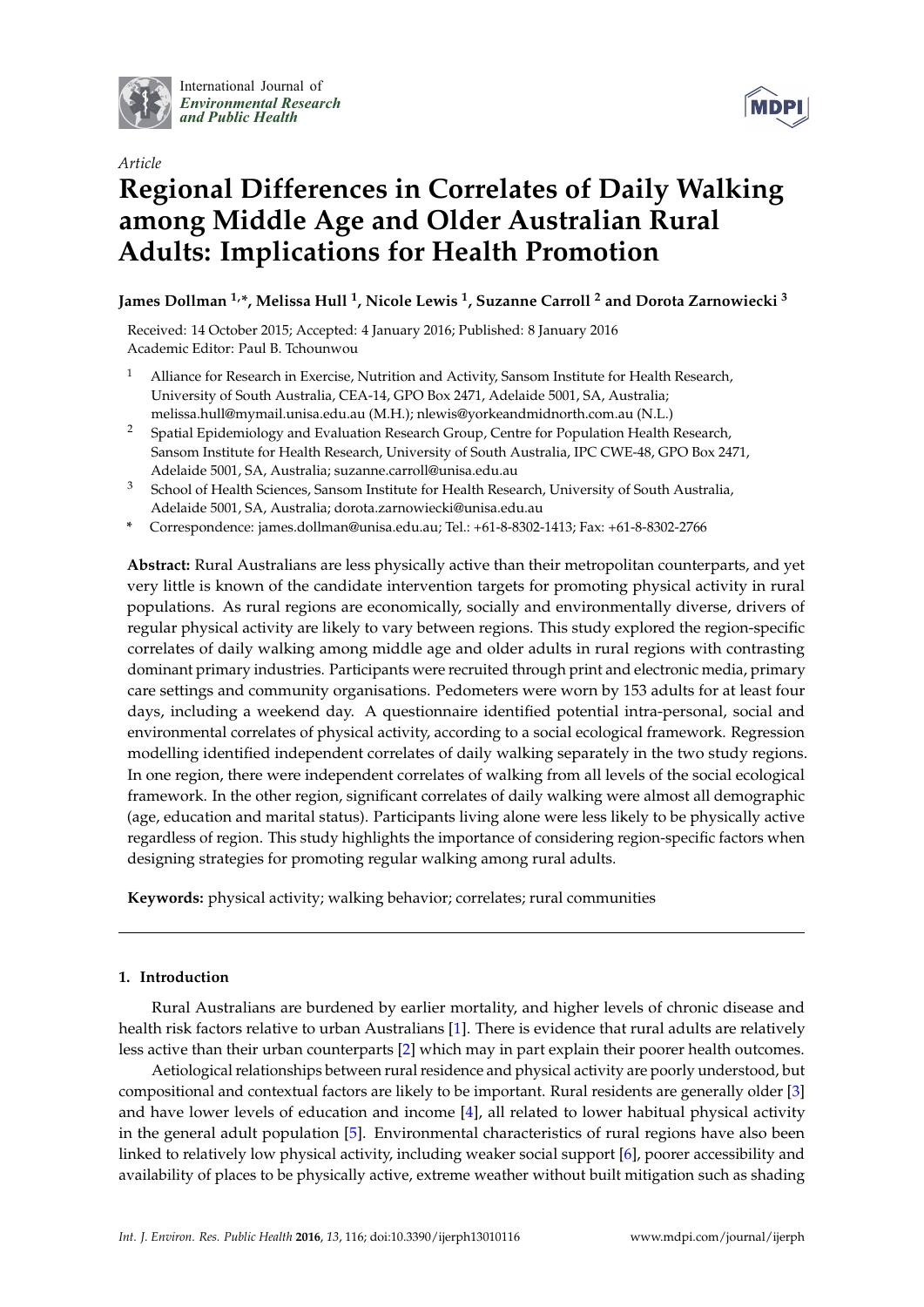

International Journal of *[Environmental Research](http://www.mdpi.com/journal/ijerph) and Public Health*



# *Article* **Regional Differences in Correlates of Daily Walking among Middle Age and Older Australian Rural Adults: Implications for Health Promotion**

**James Dollman 1,\*, Melissa Hull <sup>1</sup> , Nicole Lewis <sup>1</sup> , Suzanne Carroll <sup>2</sup> and Dorota Zarnowiecki <sup>3</sup>**

Received: 14 October 2015; Accepted: 4 January 2016; Published: 8 January 2016 Academic Editor: Paul B. Tchounwou

- <sup>1</sup> Alliance for Research in Exercise, Nutrition and Activity, Sansom Institute for Health Research, University of South Australia, CEA-14, GPO Box 2471, Adelaide 5001, SA, Australia; melissa.hull@mymail.unisa.edu.au (M.H.); nlewis@yorkeandmidnorth.com.au (N.L.)
- <sup>2</sup> Spatial Epidemiology and Evaluation Research Group, Centre for Population Health Research, Sansom Institute for Health Research, University of South Australia, IPC CWE-48, GPO Box 2471, Adelaide 5001, SA, Australia; suzanne.carroll@unisa.edu.au
- <sup>3</sup> School of Health Sciences, Sansom Institute for Health Research, University of South Australia, Adelaide 5001, SA, Australia; dorota.zarnowiecki@unisa.edu.au
- **\*** Correspondence: james.dollman@unisa.edu.au; Tel.: +61-8-8302-1413; Fax: +61-8-8302-2766

**Abstract:** Rural Australians are less physically active than their metropolitan counterparts, and yet very little is known of the candidate intervention targets for promoting physical activity in rural populations. As rural regions are economically, socially and environmentally diverse, drivers of regular physical activity are likely to vary between regions. This study explored the region-specific correlates of daily walking among middle age and older adults in rural regions with contrasting dominant primary industries. Participants were recruited through print and electronic media, primary care settings and community organisations. Pedometers were worn by 153 adults for at least four days, including a weekend day. A questionnaire identified potential intra-personal, social and environmental correlates of physical activity, according to a social ecological framework. Regression modelling identified independent correlates of daily walking separately in the two study regions. In one region, there were independent correlates of walking from all levels of the social ecological framework. In the other region, significant correlates of daily walking were almost all demographic (age, education and marital status). Participants living alone were less likely to be physically active regardless of region. This study highlights the importance of considering region-specific factors when designing strategies for promoting regular walking among rural adults.

**Keywords:** physical activity; walking behavior; correlates; rural communities

# **1. Introduction**

Rural Australians are burdened by earlier mortality, and higher levels of chronic disease and health risk factors relative to urban Australians [\[1\]](#page-7-0). There is evidence that rural adults are relatively less active than their urban counterparts [\[2\]](#page-7-1) which may in part explain their poorer health outcomes.

Aetiological relationships between rural residence and physical activity are poorly understood, but compositional and contextual factors are likely to be important. Rural residents are generally older [\[3\]](#page-7-2) and have lower levels of education and income [\[4\]](#page-7-3), all related to lower habitual physical activity in the general adult population [\[5\]](#page-7-4). Environmental characteristics of rural regions have also been linked to relatively low physical activity, including weaker social support [\[6\]](#page-7-5), poorer accessibility and availability of places to be physically active, extreme weather without built mitigation such as shading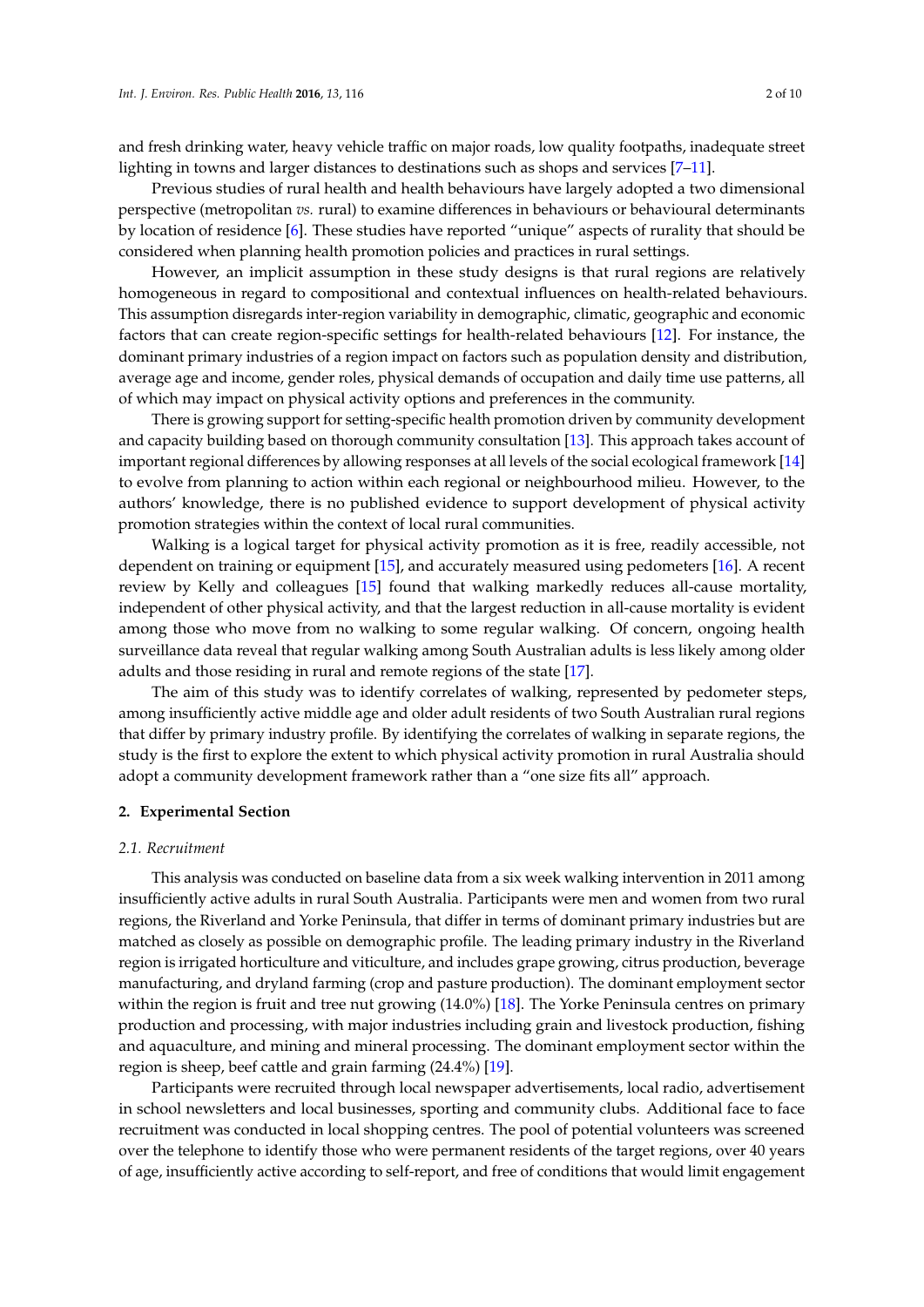and fresh drinking water, heavy vehicle traffic on major roads, low quality footpaths, inadequate street lighting in towns and larger distances to destinations such as shops and services [\[7](#page-7-6)[–11\]](#page-8-0).

Previous studies of rural health and health behaviours have largely adopted a two dimensional perspective (metropolitan *vs.* rural) to examine differences in behaviours or behavioural determinants by location of residence [\[6\]](#page-7-5). These studies have reported "unique" aspects of rurality that should be considered when planning health promotion policies and practices in rural settings.

However, an implicit assumption in these study designs is that rural regions are relatively homogeneous in regard to compositional and contextual influences on health-related behaviours. This assumption disregards inter-region variability in demographic, climatic, geographic and economic factors that can create region-specific settings for health-related behaviours [\[12\]](#page-8-1). For instance, the dominant primary industries of a region impact on factors such as population density and distribution, average age and income, gender roles, physical demands of occupation and daily time use patterns, all of which may impact on physical activity options and preferences in the community.

There is growing support for setting-specific health promotion driven by community development and capacity building based on thorough community consultation [\[13\]](#page-8-2). This approach takes account of important regional differences by allowing responses at all levels of the social ecological framework [\[14\]](#page-8-3) to evolve from planning to action within each regional or neighbourhood milieu. However, to the authors' knowledge, there is no published evidence to support development of physical activity promotion strategies within the context of local rural communities.

Walking is a logical target for physical activity promotion as it is free, readily accessible, not dependent on training or equipment [\[15\]](#page-8-4), and accurately measured using pedometers [\[16\]](#page-8-5). A recent review by Kelly and colleagues [\[15\]](#page-8-4) found that walking markedly reduces all-cause mortality, independent of other physical activity, and that the largest reduction in all-cause mortality is evident among those who move from no walking to some regular walking. Of concern, ongoing health surveillance data reveal that regular walking among South Australian adults is less likely among older adults and those residing in rural and remote regions of the state [\[17\]](#page-8-6).

The aim of this study was to identify correlates of walking, represented by pedometer steps, among insufficiently active middle age and older adult residents of two South Australian rural regions that differ by primary industry profile. By identifying the correlates of walking in separate regions, the study is the first to explore the extent to which physical activity promotion in rural Australia should adopt a community development framework rather than a "one size fits all" approach.

## **2. Experimental Section**

#### *2.1. Recruitment*

This analysis was conducted on baseline data from a six week walking intervention in 2011 among insufficiently active adults in rural South Australia. Participants were men and women from two rural regions, the Riverland and Yorke Peninsula, that differ in terms of dominant primary industries but are matched as closely as possible on demographic profile. The leading primary industry in the Riverland region is irrigated horticulture and viticulture, and includes grape growing, citrus production, beverage manufacturing, and dryland farming (crop and pasture production). The dominant employment sector within the region is fruit and tree nut growing (14.0%) [\[18\]](#page-8-7). The Yorke Peninsula centres on primary production and processing, with major industries including grain and livestock production, fishing and aquaculture, and mining and mineral processing. The dominant employment sector within the region is sheep, beef cattle and grain farming (24.4%) [\[19\]](#page-8-8).

Participants were recruited through local newspaper advertisements, local radio, advertisement in school newsletters and local businesses, sporting and community clubs. Additional face to face recruitment was conducted in local shopping centres. The pool of potential volunteers was screened over the telephone to identify those who were permanent residents of the target regions, over 40 years of age, insufficiently active according to self-report, and free of conditions that would limit engagement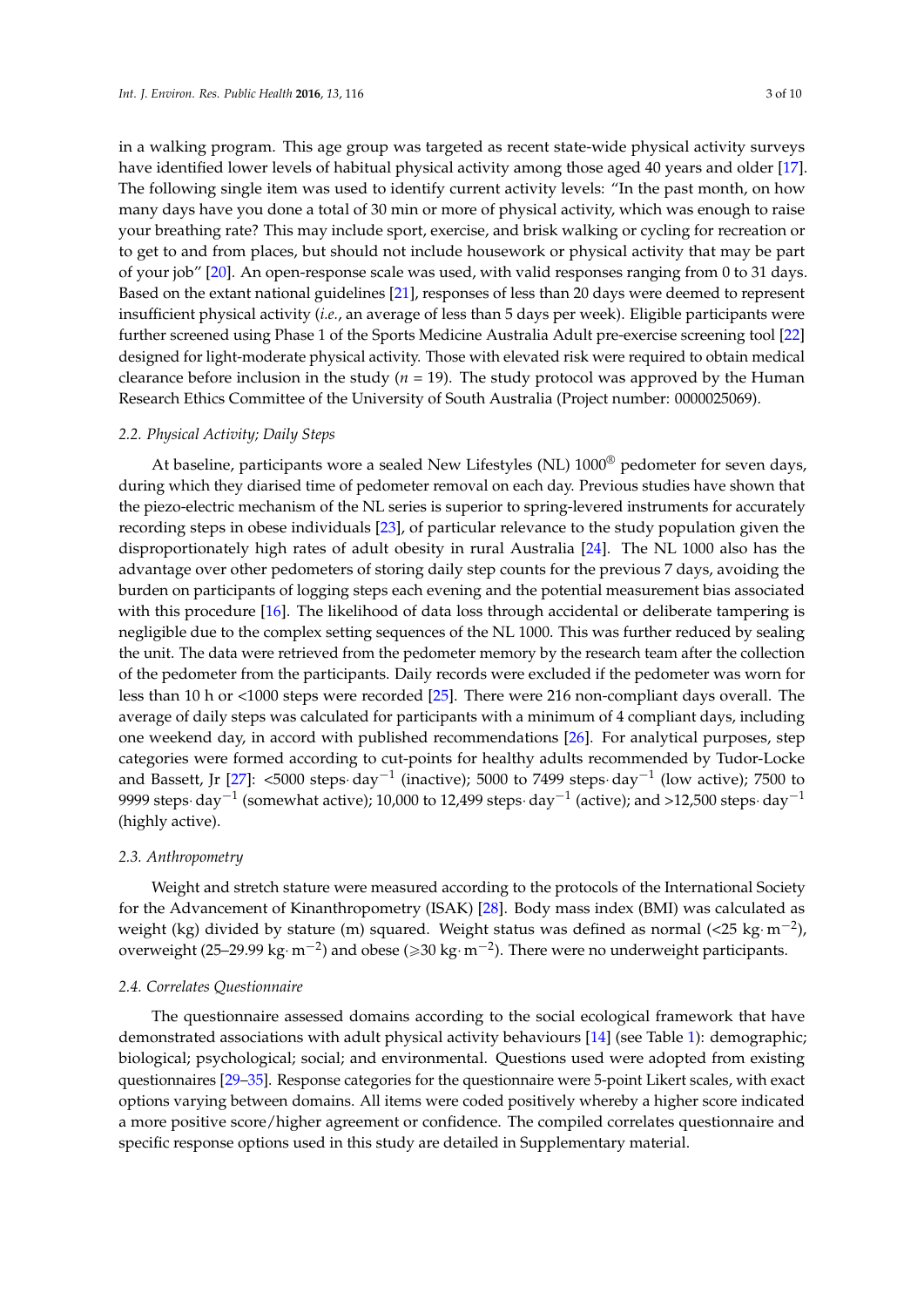in a walking program. This age group was targeted as recent state-wide physical activity surveys have identified lower levels of habitual physical activity among those aged 40 years and older [\[17\]](#page-8-6). The following single item was used to identify current activity levels: "In the past month, on how many days have you done a total of 30 min or more of physical activity, which was enough to raise your breathing rate? This may include sport, exercise, and brisk walking or cycling for recreation or to get to and from places, but should not include housework or physical activity that may be part of your job" [\[20\]](#page-8-9). An open-response scale was used, with valid responses ranging from 0 to 31 days. Based on the extant national guidelines [\[21\]](#page-8-10), responses of less than 20 days were deemed to represent insufficient physical activity (*i.e.*, an average of less than 5 days per week). Eligible participants were further screened using Phase 1 of the Sports Medicine Australia Adult pre-exercise screening tool [\[22\]](#page-8-11) designed for light-moderate physical activity. Those with elevated risk were required to obtain medical clearance before inclusion in the study (*n* = 19). The study protocol was approved by the Human Research Ethics Committee of the University of South Australia (Project number: 0000025069).

## *2.2. Physical Activity; Daily Steps*

At baseline, participants wore a sealed New Lifestyles (NL)  $1000^\circ$  pedometer for seven days, during which they diarised time of pedometer removal on each day. Previous studies have shown that the piezo-electric mechanism of the NL series is superior to spring-levered instruments for accurately recording steps in obese individuals [\[23\]](#page-8-12), of particular relevance to the study population given the disproportionately high rates of adult obesity in rural Australia [\[24\]](#page-8-13). The NL 1000 also has the advantage over other pedometers of storing daily step counts for the previous 7 days, avoiding the burden on participants of logging steps each evening and the potential measurement bias associated with this procedure [\[16\]](#page-8-5). The likelihood of data loss through accidental or deliberate tampering is negligible due to the complex setting sequences of the NL 1000. This was further reduced by sealing the unit. The data were retrieved from the pedometer memory by the research team after the collection of the pedometer from the participants. Daily records were excluded if the pedometer was worn for less than 10 h or <1000 steps were recorded [\[25\]](#page-8-14). There were 216 non-compliant days overall. The average of daily steps was calculated for participants with a minimum of 4 compliant days, including one weekend day, in accord with published recommendations [\[26\]](#page-8-15). For analytical purposes, step categories were formed according to cut-points for healthy adults recommended by Tudor-Locke and Bassett, Jr [\[27\]](#page-8-16): <5000 steps·day $^{-1}$  (inactive); 5000 to 7499 steps·day $^{-1}$  (low active); 7500 to 9999 steps $\cdot$  day $^{-1}$  (somewhat active); 10,000 to 12,499 steps $\cdot$  day $^{-1}$  (active); and >12,500 steps $\cdot$  day $^{-1}$ (highly active).

#### *2.3. Anthropometry*

Weight and stretch stature were measured according to the protocols of the International Society for the Advancement of Kinanthropometry (ISAK) [\[28\]](#page-8-17). Body mass index (BMI) was calculated as weight (kg) divided by stature (m) squared. Weight status was defined as normal (<25 kg·m $^{-2}$ ), overweight (25–29.99 kg $\cdot$  m $^{-2}$ ) and obese ( $\geqslant$ 30 kg $\cdot$  m $^{-2}$ ). There were no underweight participants.

#### *2.4. Correlates Questionnaire*

The questionnaire assessed domains according to the social ecological framework that have demonstrated associations with adult physical activity behaviours [\[14\]](#page-8-3) (see Table [1\)](#page-3-0): demographic; biological; psychological; social; and environmental. Questions used were adopted from existing questionnaires [\[29–](#page-8-18)[35\]](#page-9-0). Response categories for the questionnaire were 5-point Likert scales, with exact options varying between domains. All items were coded positively whereby a higher score indicated a more positive score/higher agreement or confidence. The compiled correlates questionnaire and specific response options used in this study are detailed in Supplementary material.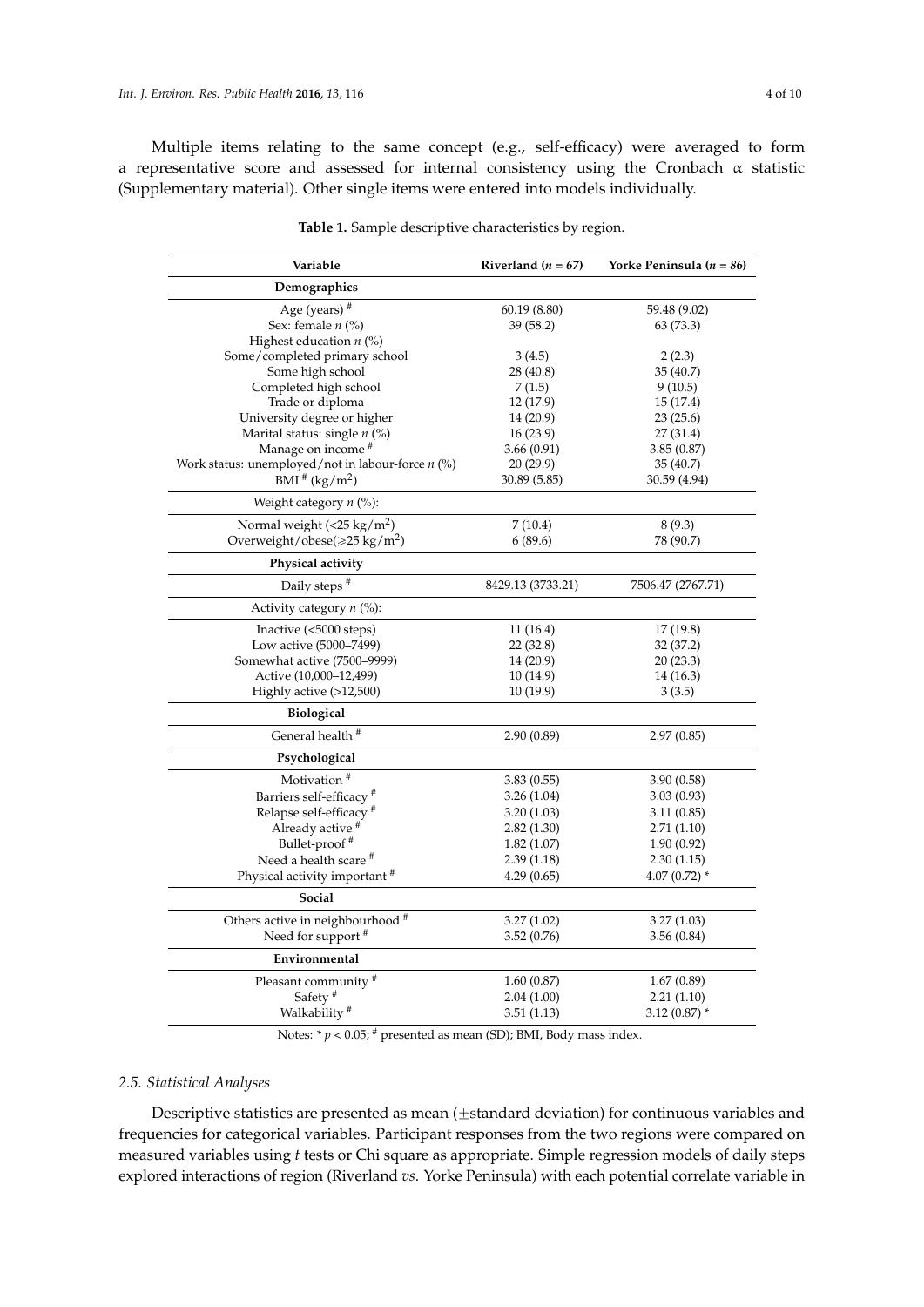Multiple items relating to the same concept (e.g., self-efficacy) were averaged to form a representative score and assessed for internal consistency using the Cronbach  $\alpha$  statistic (Supplementary material). Other single items were entered into models individually.

<span id="page-3-0"></span>

| Variable                                            | Riverland ( $n = 67$ ) | Yorke Peninsula ( $n = 86$ ) |
|-----------------------------------------------------|------------------------|------------------------------|
| Demographics                                        |                        |                              |
| Age (years) #                                       | 60.19(8.80)            | 59.48 (9.02)                 |
| Sex: female $n$ (%)                                 | 39 (58.2)              | 63 (73.3)                    |
| Highest education $n$ (%)                           |                        |                              |
| Some/completed primary school                       | 3(4.5)                 | 2(2.3)                       |
| Some high school                                    | 28 (40.8)              | 35(40.7)                     |
| Completed high school                               | 7(1.5)                 | 9(10.5)                      |
| Trade or diploma                                    | 12 (17.9)              | 15(17.4)                     |
| University degree or higher                         | 14 (20.9)              | 23(25.6)                     |
| Marital status: single $n$ (%)                      | 16(23.9)               | 27(31.4)                     |
| Manage on income <sup>#</sup>                       | 3.66(0.91)             | 3.85(0.87)                   |
| Work status: unemployed/not in labour-force $n$ (%) | 20(29.9)               | 35(40.7)                     |
| BMI $*(kg/m^2)$                                     | 30.89 (5.85)           | 30.59 (4.94)                 |
| Weight category $n$ (%):                            |                        |                              |
| Normal weight $(<25 \text{ kg/m}^2)$                | 7(10.4)                | 8(9.3)                       |
| Overweight/obese( $\geq 25$ kg/m <sup>2</sup> )     | 6(89.6)                | 78 (90.7)                    |
| Physical activity                                   |                        |                              |
| Daily steps <sup>#</sup>                            | 8429.13 (3733.21)      | 7506.47 (2767.71)            |
| Activity category $n$ (%):                          |                        |                              |
| Inactive (<5000 steps)                              | 11(16.4)               | 17 (19.8)                    |
| Low active (5000-7499)                              | 22(32.8)               | 32 (37.2)                    |
| Somewhat active (7500-9999)                         | 14 (20.9)              | 20(23.3)                     |
| Active (10,000-12,499)                              | 10 (14.9)              | 14 (16.3)                    |
| Highly active (>12,500)                             | 10 (19.9)              | 3(3.5)                       |
| Biological                                          |                        |                              |
| General health <sup>#</sup>                         | 2.90(0.89)             | 2.97(0.85)                   |
| Psychological                                       |                        |                              |
| Motivation <sup>#</sup>                             | 3.83(0.55)             | 3.90(0.58)                   |
| Barriers self-efficacy <sup>#</sup>                 | 3.26(1.04)             | 3.03(0.93)                   |
| Relapse self-efficacy <sup>#</sup>                  | 3.20(1.03)             | 3.11(0.85)                   |
| Already active #                                    | 2.82(1.30)             | 2.71(1.10)                   |
| Bullet-proof <sup>#</sup>                           | 1.82(1.07)             | 1.90(0.92)                   |
| Need a health scare <sup>#</sup>                    | 2.39(1.18)             | 2.30(1.15)                   |
| Physical activity important <sup>#</sup>            | 4.29(0.65)             | $4.07(0.72)$ *               |
| Social                                              |                        |                              |
| Others active in neighbourhood #                    | 3.27(1.02)             | 3.27(1.03)                   |
| Need for support <sup>#</sup>                       | 3.52(0.76)             | 3.56(0.84)                   |
| Environmental                                       |                        |                              |
| Pleasant community <sup>#</sup>                     | 1.60(0.87)             | 1.67(0.89)                   |
| Safety <sup>#</sup>                                 | 2.04(1.00)             | 2.21(1.10)                   |
| Walkability <sup>#</sup>                            | 3.51(1.13)             | $3.12(0.87)$ *               |

**Table 1.** Sample descriptive characteristics by region.

Notes:  $* p < 0.05$ ;  $*$  presented as mean (SD); BMI, Body mass index.

## *2.5. Statistical Analyses*

Descriptive statistics are presented as mean  $(\pm$ standard deviation) for continuous variables and frequencies for categorical variables. Participant responses from the two regions were compared on measured variables using *t* tests or Chi square as appropriate. Simple regression models of daily steps explored interactions of region (Riverland *vs*. Yorke Peninsula) with each potential correlate variable in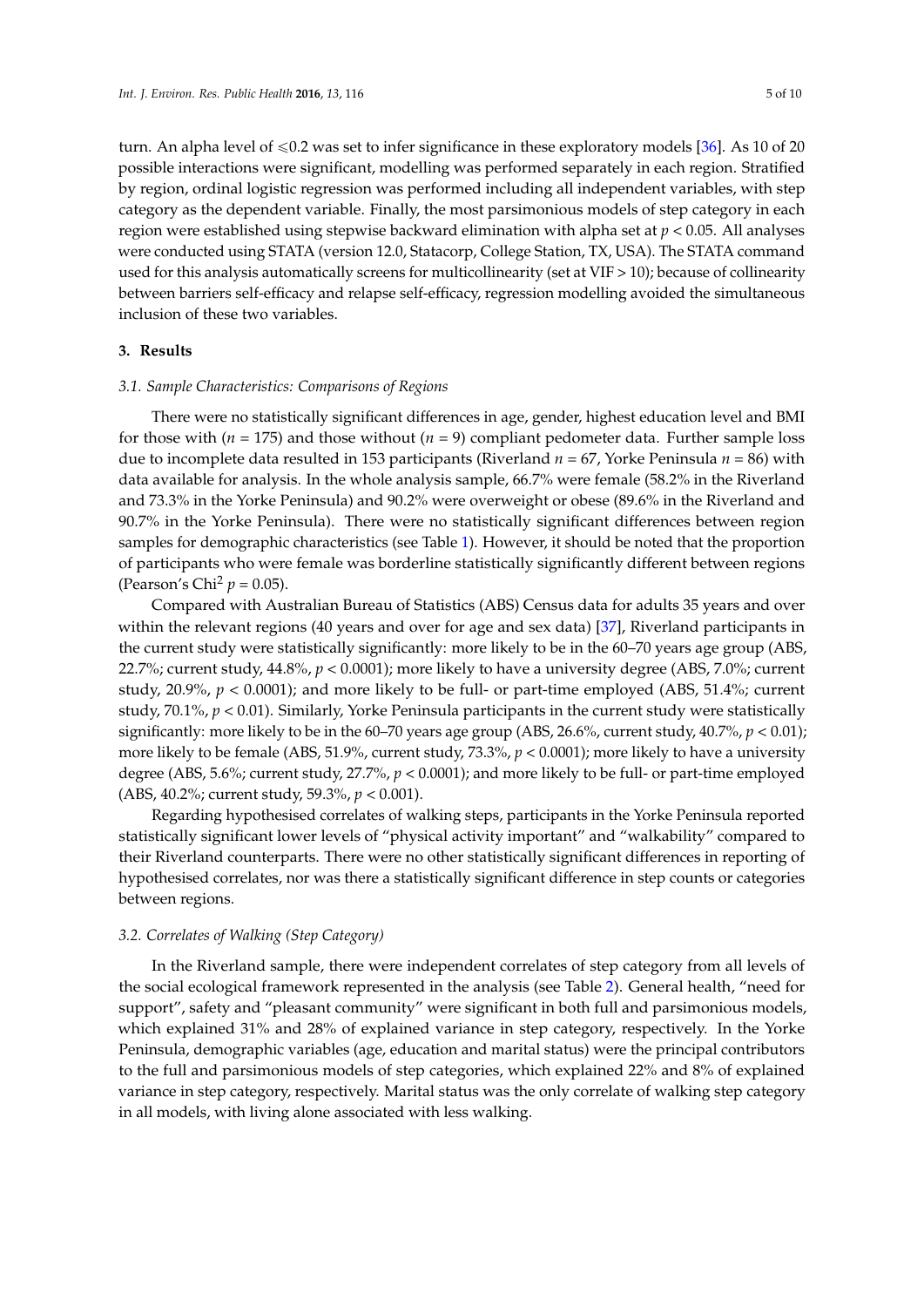turn. An alpha level of  $\leq 0.2$  was set to infer significance in these exploratory models [\[36\]](#page-9-1). As 10 of 20 possible interactions were significant, modelling was performed separately in each region. Stratified by region, ordinal logistic regression was performed including all independent variables, with step category as the dependent variable. Finally, the most parsimonious models of step category in each region were established using stepwise backward elimination with alpha set at *p* < 0.05. All analyses were conducted using STATA (version 12.0, Statacorp, College Station, TX, USA). The STATA command used for this analysis automatically screens for multicollinearity (set at VIF > 10); because of collinearity between barriers self-efficacy and relapse self-efficacy, regression modelling avoided the simultaneous inclusion of these two variables.

# **3. Results**

## *3.1. Sample Characteristics: Comparisons of Regions*

There were no statistically significant differences in age, gender, highest education level and BMI for those with ( $n = 175$ ) and those without ( $n = 9$ ) compliant pedometer data. Further sample loss due to incomplete data resulted in 153 participants (Riverland *n* = 67, Yorke Peninsula *n* = 86) with data available for analysis. In the whole analysis sample, 66.7% were female (58.2% in the Riverland and 73.3% in the Yorke Peninsula) and 90.2% were overweight or obese (89.6% in the Riverland and 90.7% in the Yorke Peninsula). There were no statistically significant differences between region samples for demographic characteristics (see Table [1\)](#page-3-0). However, it should be noted that the proportion of participants who were female was borderline statistically significantly different between regions (Pearson's Chi<sup>2</sup>  $p = 0.05$ ).

Compared with Australian Bureau of Statistics (ABS) Census data for adults 35 years and over within the relevant regions (40 years and over for age and sex data) [\[37\]](#page-9-2), Riverland participants in the current study were statistically significantly: more likely to be in the 60–70 years age group (ABS, 22.7%; current study, 44.8%, *p* < 0.0001); more likely to have a university degree (ABS, 7.0%; current study, 20.9%, *p* < 0.0001); and more likely to be full- or part-time employed (ABS, 51.4%; current study, 70.1%, *p* < 0.01). Similarly, Yorke Peninsula participants in the current study were statistically significantly: more likely to be in the 60–70 years age group (ABS, 26.6%, current study, 40.7%, *p* < 0.01); more likely to be female (ABS, 51.9%, current study, 73.3%, *p* < 0.0001); more likely to have a university degree (ABS, 5.6%; current study, 27.7%, *p* < 0.0001); and more likely to be full- or part-time employed (ABS, 40.2%; current study, 59.3%, *p* < 0.001).

Regarding hypothesised correlates of walking steps, participants in the Yorke Peninsula reported statistically significant lower levels of "physical activity important" and "walkability" compared to their Riverland counterparts. There were no other statistically significant differences in reporting of hypothesised correlates, nor was there a statistically significant difference in step counts or categories between regions.

#### *3.2. Correlates of Walking (Step Category)*

In the Riverland sample, there were independent correlates of step category from all levels of the social ecological framework represented in the analysis (see Table [2\)](#page-5-0). General health, "need for support", safety and "pleasant community" were significant in both full and parsimonious models, which explained 31% and 28% of explained variance in step category, respectively. In the Yorke Peninsula, demographic variables (age, education and marital status) were the principal contributors to the full and parsimonious models of step categories, which explained 22% and 8% of explained variance in step category, respectively. Marital status was the only correlate of walking step category in all models, with living alone associated with less walking.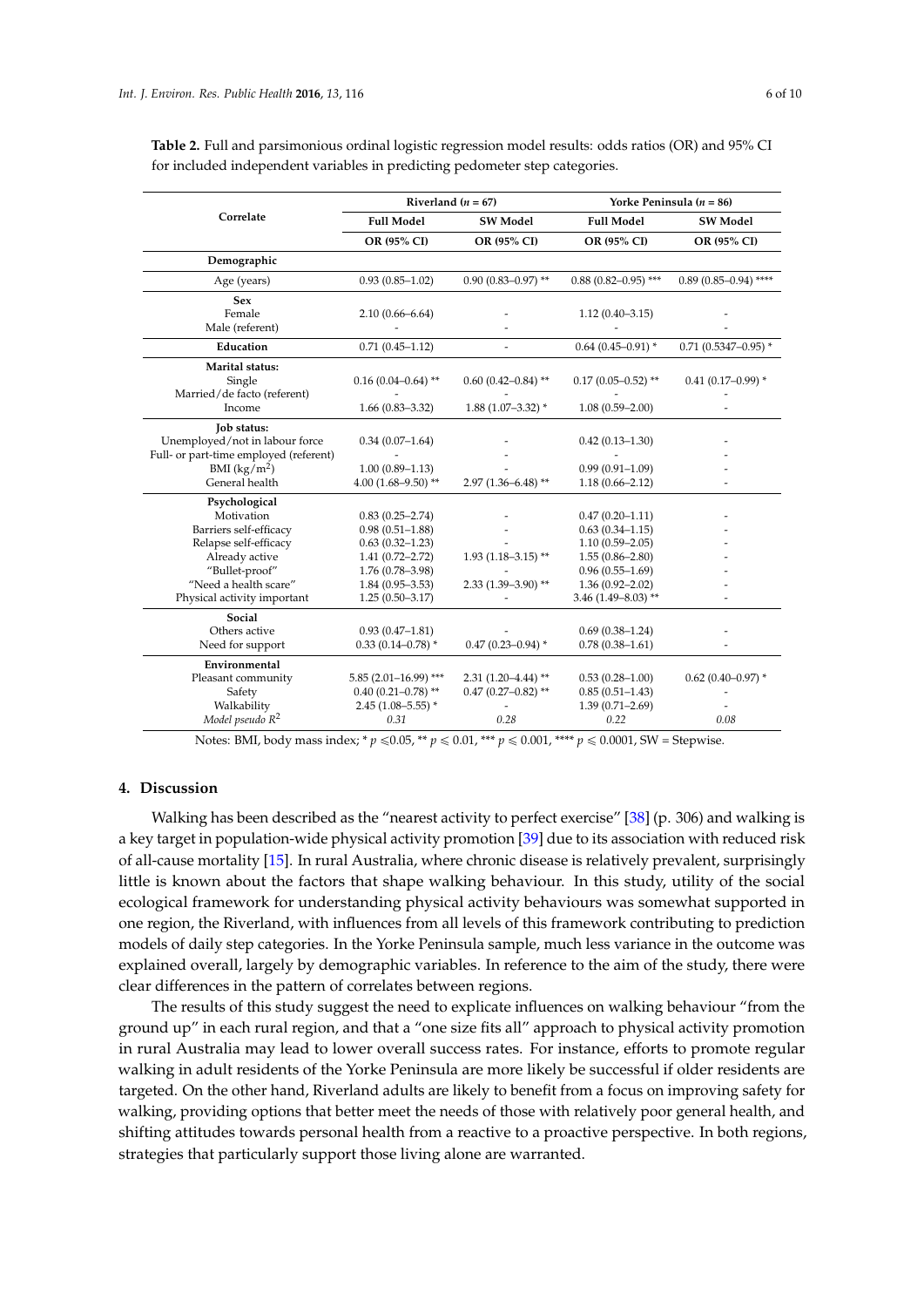| Correlate                                                                                                                                                                  | Riverland $(n = 67)$                                                                                                                                        |                                                          | Yorke Peninsula ( $n = 86$ )                                                                                                                                     |                              |
|----------------------------------------------------------------------------------------------------------------------------------------------------------------------------|-------------------------------------------------------------------------------------------------------------------------------------------------------------|----------------------------------------------------------|------------------------------------------------------------------------------------------------------------------------------------------------------------------|------------------------------|
|                                                                                                                                                                            | <b>Full Model</b>                                                                                                                                           | <b>SW Model</b>                                          | <b>Full Model</b>                                                                                                                                                | <b>SW Model</b>              |
|                                                                                                                                                                            | OR (95% CI)                                                                                                                                                 | OR (95% CI)                                              | OR (95% CI)                                                                                                                                                      | OR (95% CI)                  |
| Demographic                                                                                                                                                                |                                                                                                                                                             |                                                          |                                                                                                                                                                  |                              |
| Age (years)                                                                                                                                                                | $0.93(0.85 - 1.02)$                                                                                                                                         | $0.90(0.83 - 0.97)$ **                                   | $0.88$ (0.82-0.95) ***                                                                                                                                           | $0.89(0.85 - 0.94)$ ****     |
| <b>Sex</b><br>Female<br>Male (referent)                                                                                                                                    | $2.10(0.66 - 6.64)$                                                                                                                                         |                                                          | $1.12(0.40 - 3.15)$                                                                                                                                              |                              |
| Education                                                                                                                                                                  | $0.71(0.45 - 1.12)$                                                                                                                                         |                                                          | $0.64(0.45 - 0.91)$ *                                                                                                                                            | $0.71$ (0.5347-0.95) *       |
| Marital status:<br>Single<br>Married/de facto (referent)<br>Income                                                                                                         | $0.16(0.04 - 0.64)$ **<br>$1.66(0.83 - 3.32)$                                                                                                               | $0.60$ $(0.42 - 0.84)$ **<br>$1.88(1.07-3.32)$ *         | $0.17(0.05 - 0.52)$ **<br>$1.08(0.59 - 2.00)$                                                                                                                    | $0.41(0.17-0.99)$ *          |
| <b>Tob status:</b><br>Unemployed/not in labour force<br>Full- or part-time employed (referent)<br>BMI $(kg/m^2)$<br>General health                                         | $0.34(0.07-1.64)$<br>$1.00(0.89 - 1.13)$<br>4.00 $(1.68 - 9.50)$ **                                                                                         | $2.97(1.36 - 6.48)$ **                                   | $0.42(0.13 - 1.30)$<br>$0.99(0.91 - 1.09)$<br>$1.18(0.66 - 2.12)$                                                                                                |                              |
| Psychological<br>Motivation<br>Barriers self-efficacy<br>Relapse self-efficacy<br>Already active<br>"Bullet-proof"<br>"Need a health scare"<br>Physical activity important | $0.83(0.25 - 2.74)$<br>$0.98(0.51 - 1.88)$<br>$0.63(0.32 - 1.23)$<br>$1.41(0.72 - 2.72)$<br>$1.76(0.78 - 3.98)$<br>$1.84(0.95 - 3.53)$<br>$1.25(0.50-3.17)$ | $1.93(1.18-3.15)$ **<br>$2.33(1.39 - 3.90)$ **           | $0.47(0.20 - 1.11)$<br>$0.63(0.34 - 1.15)$<br>$1.10(0.59 - 2.05)$<br>$1.55(0.86 - 2.80)$<br>$0.96(0.55 - 1.69)$<br>$1.36(0.92 - 2.02)$<br>$3.46(1.49 - 8.03)$ ** | ٠                            |
| Social<br>Others active<br>Need for support                                                                                                                                | $0.93(0.47 - 1.81)$<br>$0.33(0.14 - 0.78)$ *                                                                                                                | $0.47(0.23 - 0.94)$ *                                    | $0.69(0.38-1.24)$<br>$0.78(0.38 - 1.61)$                                                                                                                         |                              |
| Environmental<br>Pleasant community<br>Safety<br>Walkability<br>Model pseudo R <sup>2</sup>                                                                                | $5.85(2.01-16.99)$ ***<br>$0.40(0.21 - 0.78)$ **<br>$2.45(1.08 - 5.55)$ *<br>0.31                                                                           | $2.31(1.20 - 4.44)$ **<br>$0.47(0.27 - 0.82)$ **<br>0.28 | $0.53(0.28 - 1.00)$<br>$0.85(0.51 - 1.43)$<br>$1.39(0.71 - 2.69)$<br>0.22                                                                                        | $0.62$ (0.40-0.97) *<br>0.08 |

<span id="page-5-0"></span>**Table 2.** Full and parsimonious ordinal logistic regression model results: odds ratios (OR) and 95% CI for included independent variables in predicting pedometer step categories.

Notes: BMI, body mass index; \*  $p \le 0.05$ , \*\*  $p \le 0.01$ , \*\*\*  $p \le 0.001$ , \*\*\*\*  $p \le 0.0001$ , SW = Stepwise.

# **4. Discussion**

Walking has been described as the "nearest activity to perfect exercise" [\[38\]](#page-9-3) (p. 306) and walking is a key target in population-wide physical activity promotion [\[39\]](#page-9-4) due to its association with reduced risk of all-cause mortality [\[15\]](#page-8-4). In rural Australia, where chronic disease is relatively prevalent, surprisingly little is known about the factors that shape walking behaviour. In this study, utility of the social ecological framework for understanding physical activity behaviours was somewhat supported in one region, the Riverland, with influences from all levels of this framework contributing to prediction models of daily step categories. In the Yorke Peninsula sample, much less variance in the outcome was explained overall, largely by demographic variables. In reference to the aim of the study, there were clear differences in the pattern of correlates between regions.

The results of this study suggest the need to explicate influences on walking behaviour "from the ground up" in each rural region, and that a "one size fits all" approach to physical activity promotion in rural Australia may lead to lower overall success rates. For instance, efforts to promote regular walking in adult residents of the Yorke Peninsula are more likely be successful if older residents are targeted. On the other hand, Riverland adults are likely to benefit from a focus on improving safety for walking, providing options that better meet the needs of those with relatively poor general health, and shifting attitudes towards personal health from a reactive to a proactive perspective. In both regions, strategies that particularly support those living alone are warranted.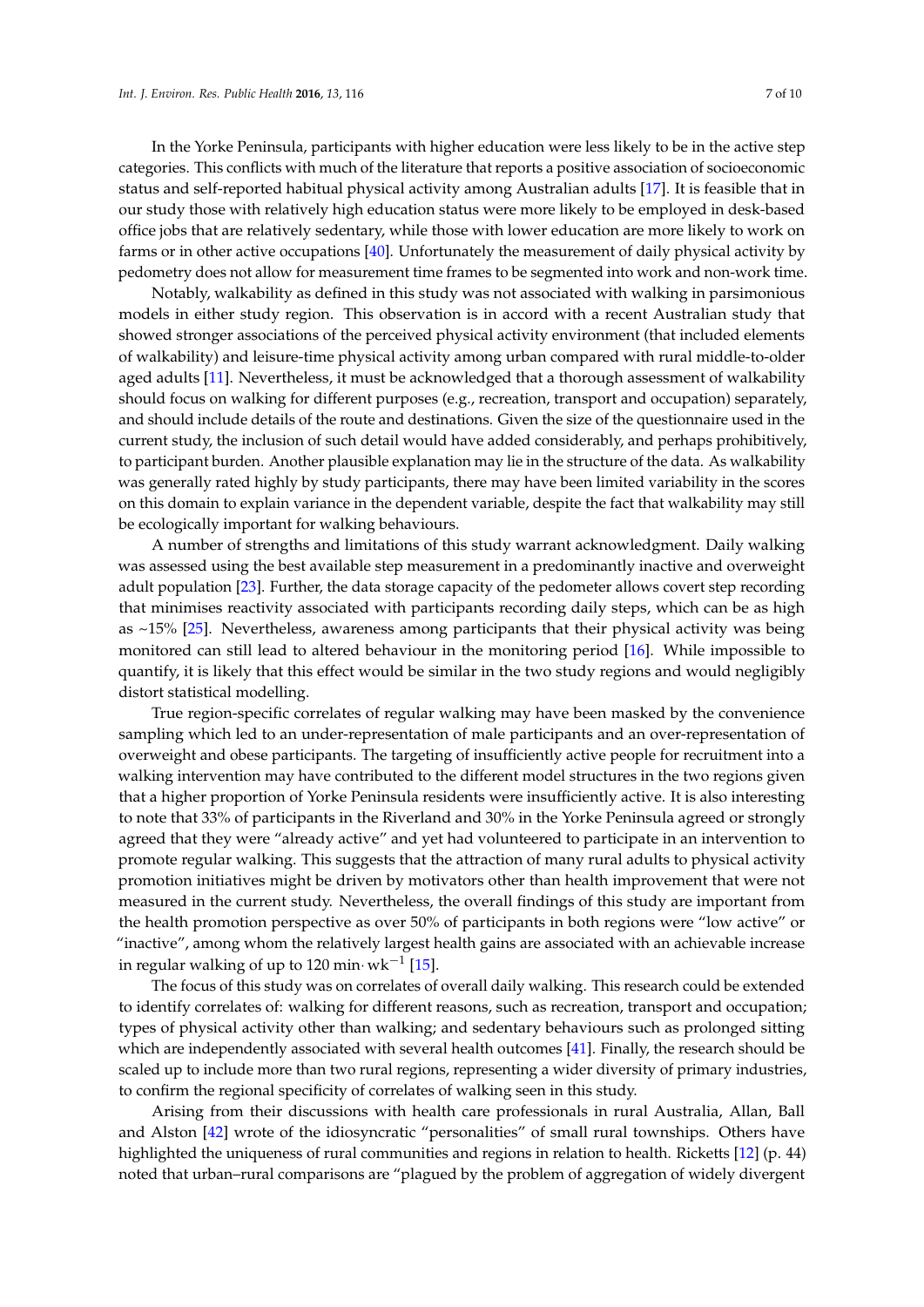In the Yorke Peninsula, participants with higher education were less likely to be in the active step categories. This conflicts with much of the literature that reports a positive association of socioeconomic status and self-reported habitual physical activity among Australian adults [\[17\]](#page-8-6). It is feasible that in our study those with relatively high education status were more likely to be employed in desk-based office jobs that are relatively sedentary, while those with lower education are more likely to work on farms or in other active occupations [\[40\]](#page-9-5). Unfortunately the measurement of daily physical activity by pedometry does not allow for measurement time frames to be segmented into work and non-work time.

Notably, walkability as defined in this study was not associated with walking in parsimonious models in either study region. This observation is in accord with a recent Australian study that showed stronger associations of the perceived physical activity environment (that included elements of walkability) and leisure-time physical activity among urban compared with rural middle-to-older aged adults [\[11\]](#page-8-0). Nevertheless, it must be acknowledged that a thorough assessment of walkability should focus on walking for different purposes (e.g., recreation, transport and occupation) separately, and should include details of the route and destinations. Given the size of the questionnaire used in the current study, the inclusion of such detail would have added considerably, and perhaps prohibitively, to participant burden. Another plausible explanation may lie in the structure of the data. As walkability was generally rated highly by study participants, there may have been limited variability in the scores on this domain to explain variance in the dependent variable, despite the fact that walkability may still be ecologically important for walking behaviours.

A number of strengths and limitations of this study warrant acknowledgment. Daily walking was assessed using the best available step measurement in a predominantly inactive and overweight adult population [\[23\]](#page-8-12). Further, the data storage capacity of the pedometer allows covert step recording that minimises reactivity associated with participants recording daily steps, which can be as high as ~15% [\[25\]](#page-8-14). Nevertheless, awareness among participants that their physical activity was being monitored can still lead to altered behaviour in the monitoring period [\[16\]](#page-8-5). While impossible to quantify, it is likely that this effect would be similar in the two study regions and would negligibly distort statistical modelling.

True region-specific correlates of regular walking may have been masked by the convenience sampling which led to an under-representation of male participants and an over-representation of overweight and obese participants. The targeting of insufficiently active people for recruitment into a walking intervention may have contributed to the different model structures in the two regions given that a higher proportion of Yorke Peninsula residents were insufficiently active. It is also interesting to note that 33% of participants in the Riverland and 30% in the Yorke Peninsula agreed or strongly agreed that they were "already active" and yet had volunteered to participate in an intervention to promote regular walking. This suggests that the attraction of many rural adults to physical activity promotion initiatives might be driven by motivators other than health improvement that were not measured in the current study. Nevertheless, the overall findings of this study are important from the health promotion perspective as over 50% of participants in both regions were "low active" or "inactive", among whom the relatively largest health gains are associated with an achievable increase in regular walking of up to 120 min $\cdot$  wk $^{-1}$  [\[15\]](#page-8-4).

The focus of this study was on correlates of overall daily walking. This research could be extended to identify correlates of: walking for different reasons, such as recreation, transport and occupation; types of physical activity other than walking; and sedentary behaviours such as prolonged sitting which are independently associated with several health outcomes [\[41\]](#page-9-6). Finally, the research should be scaled up to include more than two rural regions, representing a wider diversity of primary industries, to confirm the regional specificity of correlates of walking seen in this study.

Arising from their discussions with health care professionals in rural Australia, Allan, Ball and Alston [\[42\]](#page-9-7) wrote of the idiosyncratic "personalities" of small rural townships. Others have highlighted the uniqueness of rural communities and regions in relation to health. Ricketts [\[12\]](#page-8-1) (p. 44) noted that urban–rural comparisons are "plagued by the problem of aggregation of widely divergent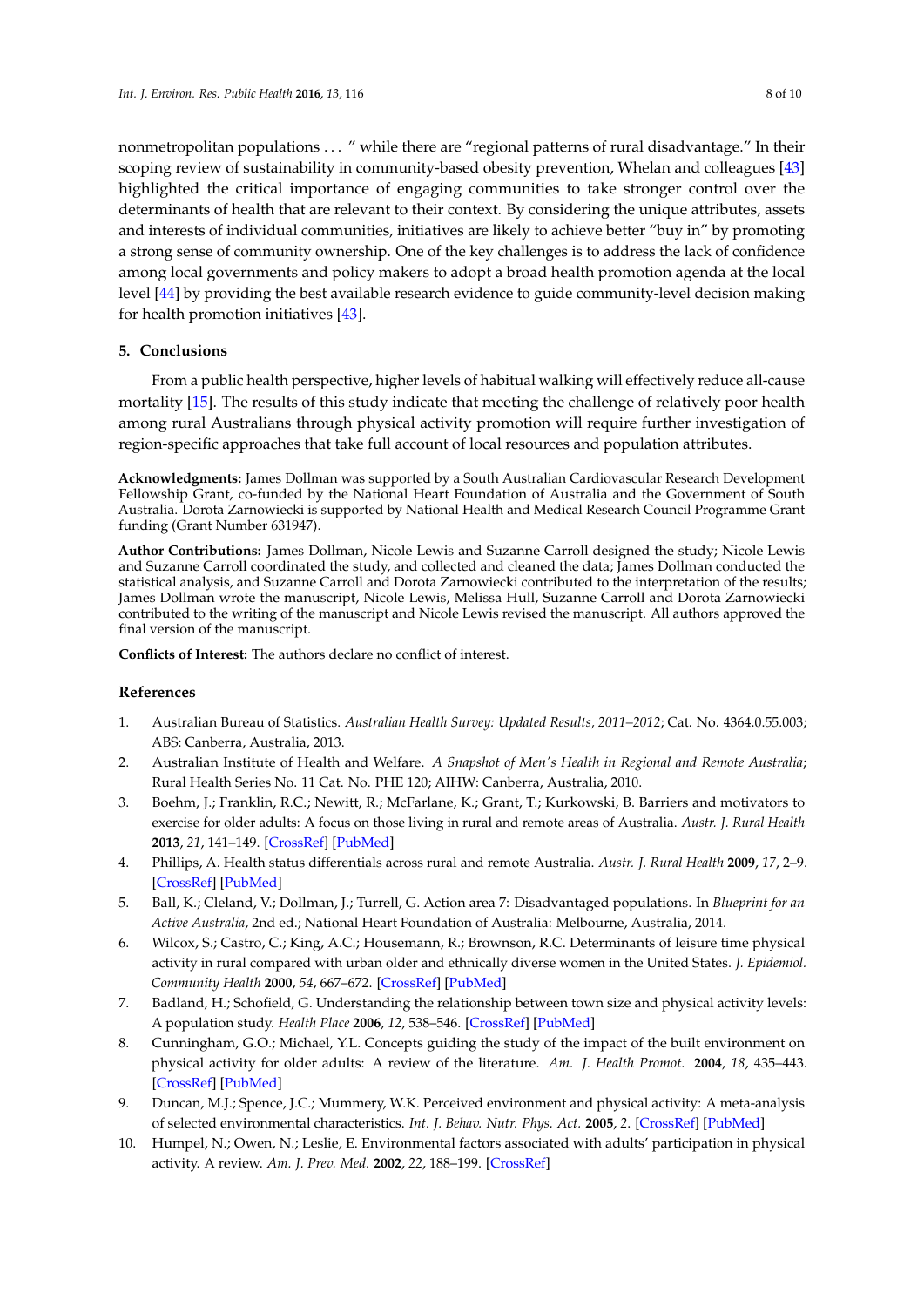nonmetropolitan populations . . . " while there are "regional patterns of rural disadvantage." In their scoping review of sustainability in community-based obesity prevention, Whelan and colleagues [\[43\]](#page-9-8) highlighted the critical importance of engaging communities to take stronger control over the determinants of health that are relevant to their context. By considering the unique attributes, assets and interests of individual communities, initiatives are likely to achieve better "buy in" by promoting a strong sense of community ownership. One of the key challenges is to address the lack of confidence among local governments and policy makers to adopt a broad health promotion agenda at the local level [\[44\]](#page-9-9) by providing the best available research evidence to guide community-level decision making for health promotion initiatives [\[43\]](#page-9-8).

## **5. Conclusions**

From a public health perspective, higher levels of habitual walking will effectively reduce all-cause mortality [\[15\]](#page-8-4). The results of this study indicate that meeting the challenge of relatively poor health among rural Australians through physical activity promotion will require further investigation of region-specific approaches that take full account of local resources and population attributes.

**Acknowledgments:** James Dollman was supported by a South Australian Cardiovascular Research Development Fellowship Grant, co-funded by the National Heart Foundation of Australia and the Government of South Australia. Dorota Zarnowiecki is supported by National Health and Medical Research Council Programme Grant funding (Grant Number 631947).

**Author Contributions:** James Dollman, Nicole Lewis and Suzanne Carroll designed the study; Nicole Lewis and Suzanne Carroll coordinated the study, and collected and cleaned the data; James Dollman conducted the statistical analysis, and Suzanne Carroll and Dorota Zarnowiecki contributed to the interpretation of the results; James Dollman wrote the manuscript, Nicole Lewis, Melissa Hull, Suzanne Carroll and Dorota Zarnowiecki contributed to the writing of the manuscript and Nicole Lewis revised the manuscript. All authors approved the final version of the manuscript.

**Conflicts of Interest:** The authors declare no conflict of interest.

## **References**

- <span id="page-7-0"></span>1. Australian Bureau of Statistics. *Australian Health Survey: Updated Results, 2011–2012*; Cat. No. 4364.0.55.003; ABS: Canberra, Australia, 2013.
- <span id="page-7-1"></span>2. Australian Institute of Health and Welfare. *A Snapshot of Men's Health in Regional and Remote Australia*; Rural Health Series No. 11 Cat. No. PHE 120; AIHW: Canberra, Australia, 2010.
- <span id="page-7-2"></span>3. Boehm, J.; Franklin, R.C.; Newitt, R.; McFarlane, K.; Grant, T.; Kurkowski, B. Barriers and motivators to exercise for older adults: A focus on those living in rural and remote areas of Australia. *Austr. J. Rural Health* **2013**, *21*, 141–149. [\[CrossRef\]](http://dx.doi.org/10.1111/ajr.12032) [\[PubMed\]](http://www.ncbi.nlm.nih.gov/pubmed/23782281)
- <span id="page-7-3"></span>4. Phillips, A. Health status differentials across rural and remote Australia. *Austr. J. Rural Health* **2009**, *17*, 2–9. [\[CrossRef\]](http://dx.doi.org/10.1111/j.1440-1584.2008.01029.x) [\[PubMed\]](http://www.ncbi.nlm.nih.gov/pubmed/19161493)
- <span id="page-7-4"></span>5. Ball, K.; Cleland, V.; Dollman, J.; Turrell, G. Action area 7: Disadvantaged populations. In *Blueprint for an Active Australia*, 2nd ed.; National Heart Foundation of Australia: Melbourne, Australia, 2014.
- <span id="page-7-5"></span>6. Wilcox, S.; Castro, C.; King, A.C.; Housemann, R.; Brownson, R.C. Determinants of leisure time physical activity in rural compared with urban older and ethnically diverse women in the United States. *J. Epidemiol. Community Health* **2000**, *54*, 667–672. [\[CrossRef\]](http://dx.doi.org/10.1136/jech.54.9.667) [\[PubMed\]](http://www.ncbi.nlm.nih.gov/pubmed/10942445)
- <span id="page-7-6"></span>7. Badland, H.; Schofield, G. Understanding the relationship between town size and physical activity levels: A population study. *Health Place* **2006**, *12*, 538–546. [\[CrossRef\]](http://dx.doi.org/10.1016/j.healthplace.2005.08.007) [\[PubMed\]](http://www.ncbi.nlm.nih.gov/pubmed/16172014)
- 8. Cunningham, G.O.; Michael, Y.L. Concepts guiding the study of the impact of the built environment on physical activity for older adults: A review of the literature. *Am. J. Health Promot.* **2004**, *18*, 435–443. [\[CrossRef\]](http://dx.doi.org/10.4278/0890-1171-18.6.435) [\[PubMed\]](http://www.ncbi.nlm.nih.gov/pubmed/15293929)
- 9. Duncan, M.J.; Spence, J.C.; Mummery, W.K. Perceived environment and physical activity: A meta-analysis of selected environmental characteristics. *Int. J. Behav. Nutr. Phys. Act.* **2005**, *2*. [\[CrossRef\]](http://dx.doi.org/10.1186/1479-5868-2-11) [\[PubMed\]](http://www.ncbi.nlm.nih.gov/pubmed/16138933)
- 10. Humpel, N.; Owen, N.; Leslie, E. Environmental factors associated with adults' participation in physical activity. A review. *Am. J. Prev. Med.* **2002**, *22*, 188–199. [\[CrossRef\]](http://dx.doi.org/10.1016/S0749-3797(01)00426-3)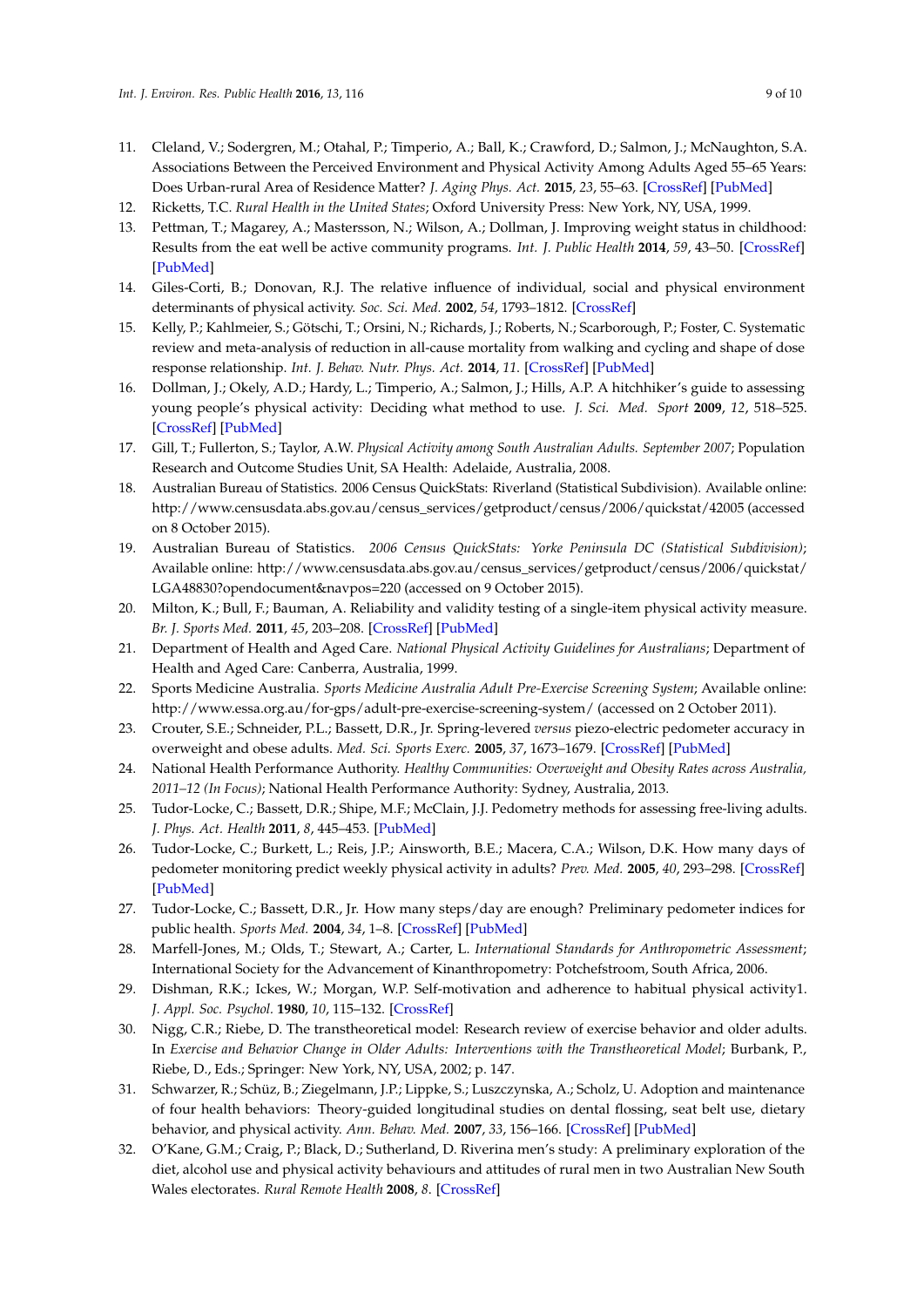- <span id="page-8-0"></span>11. Cleland, V.; Sodergren, M.; Otahal, P.; Timperio, A.; Ball, K.; Crawford, D.; Salmon, J.; McNaughton, S.A. Associations Between the Perceived Environment and Physical Activity Among Adults Aged 55–65 Years: Does Urban-rural Area of Residence Matter? *J. Aging Phys. Act.* **2015**, *23*, 55–63. [\[CrossRef\]](http://dx.doi.org/10.1123/JAPA.2012-0271) [\[PubMed\]](http://www.ncbi.nlm.nih.gov/pubmed/24412944)
- <span id="page-8-1"></span>12. Ricketts, T.C. *Rural Health in the United States*; Oxford University Press: New York, NY, USA, 1999.
- <span id="page-8-2"></span>13. Pettman, T.; Magarey, A.; Mastersson, N.; Wilson, A.; Dollman, J. Improving weight status in childhood: Results from the eat well be active community programs. *Int. J. Public Health* **2014**, *59*, 43–50. [\[CrossRef\]](http://dx.doi.org/10.1007/s00038-013-0455-4) [\[PubMed\]](http://www.ncbi.nlm.nih.gov/pubmed/23529384)
- <span id="page-8-3"></span>14. Giles-Corti, B.; Donovan, R.J. The relative influence of individual, social and physical environment determinants of physical activity. *Soc. Sci. Med.* **2002**, *54*, 1793–1812. [\[CrossRef\]](http://dx.doi.org/10.1016/S0277-9536(01)00150-2)
- <span id="page-8-4"></span>15. Kelly, P.; Kahlmeier, S.; Götschi, T.; Orsini, N.; Richards, J.; Roberts, N.; Scarborough, P.; Foster, C. Systematic review and meta-analysis of reduction in all-cause mortality from walking and cycling and shape of dose response relationship. *Int. J. Behav. Nutr. Phys. Act.* **2014**, *11*. [\[CrossRef\]](http://dx.doi.org/10.1186/s12966-014-0132-x) [\[PubMed\]](http://www.ncbi.nlm.nih.gov/pubmed/25344355)
- <span id="page-8-5"></span>16. Dollman, J.; Okely, A.D.; Hardy, L.; Timperio, A.; Salmon, J.; Hills, A.P. A hitchhiker's guide to assessing young people's physical activity: Deciding what method to use. *J. Sci. Med. Sport* **2009**, *12*, 518–525. [\[CrossRef\]](http://dx.doi.org/10.1016/j.jsams.2008.09.007) [\[PubMed\]](http://www.ncbi.nlm.nih.gov/pubmed/19038579)
- <span id="page-8-6"></span>17. Gill, T.; Fullerton, S.; Taylor, A.W. *Physical Activity among South Australian Adults. September 2007*; Population Research and Outcome Studies Unit, SA Health: Adelaide, Australia, 2008.
- <span id="page-8-7"></span>18. Australian Bureau of Statistics. 2006 Census QuickStats: Riverland (Statistical Subdivision). Available online: http://www.censusdata.abs.gov.au/census\_services/getproduct/census/2006/quickstat/42005 (accessed on 8 October 2015).
- <span id="page-8-8"></span>19. Australian Bureau of Statistics. *2006 Census QuickStats: Yorke Peninsula DC (Statistical Subdivision)*; Available online: http://www.censusdata.abs.gov.au/census\_services/getproduct/census/2006/quickstat/ LGA48830?opendocument&navpos=220 (accessed on 9 October 2015).
- <span id="page-8-9"></span>20. Milton, K.; Bull, F.; Bauman, A. Reliability and validity testing of a single-item physical activity measure. *Br. J. Sports Med.* **2011**, *45*, 203–208. [\[CrossRef\]](http://dx.doi.org/10.1136/bjsm.2009.068395) [\[PubMed\]](http://www.ncbi.nlm.nih.gov/pubmed/20484314)
- <span id="page-8-10"></span>21. Department of Health and Aged Care. *National Physical Activity Guidelines for Australians*; Department of Health and Aged Care: Canberra, Australia, 1999.
- <span id="page-8-11"></span>22. Sports Medicine Australia. *Sports Medicine Australia Adult Pre-Exercise Screening System*; Available online: http://www.essa.org.au/for-gps/adult-pre-exercise-screening-system/ (accessed on 2 October 2011).
- <span id="page-8-12"></span>23. Crouter, S.E.; Schneider, P.L.; Bassett, D.R., Jr. Spring-levered *versus* piezo-electric pedometer accuracy in overweight and obese adults. *Med. Sci. Sports Exerc.* **2005**, *37*, 1673–1679. [\[CrossRef\]](http://dx.doi.org/10.1249/01.mss.0000181677.36658.a8) [\[PubMed\]](http://www.ncbi.nlm.nih.gov/pubmed/16260966)
- <span id="page-8-13"></span>24. National Health Performance Authority. *Healthy Communities: Overweight and Obesity Rates across Australia, 2011–12 (In Focus)*; National Health Performance Authority: Sydney, Australia, 2013.
- <span id="page-8-14"></span>25. Tudor-Locke, C.; Bassett, D.R.; Shipe, M.F.; McClain, J.J. Pedometry methods for assessing free-living adults. *J. Phys. Act. Health* **2011**, *8*, 445–453. [\[PubMed\]](http://www.ncbi.nlm.nih.gov/pubmed/21487145)
- <span id="page-8-15"></span>26. Tudor-Locke, C.; Burkett, L.; Reis, J.P.; Ainsworth, B.E.; Macera, C.A.; Wilson, D.K. How many days of pedometer monitoring predict weekly physical activity in adults? *Prev. Med.* **2005**, *40*, 293–298. [\[CrossRef\]](http://dx.doi.org/10.1016/j.ypmed.2004.06.003) [\[PubMed\]](http://www.ncbi.nlm.nih.gov/pubmed/15533542)
- <span id="page-8-16"></span>27. Tudor-Locke, C.; Bassett, D.R., Jr. How many steps/day are enough? Preliminary pedometer indices for public health. *Sports Med.* **2004**, *34*, 1–8. [\[CrossRef\]](http://dx.doi.org/10.2165/00007256-200434010-00001) [\[PubMed\]](http://www.ncbi.nlm.nih.gov/pubmed/14715035)
- <span id="page-8-17"></span>28. Marfell-Jones, M.; Olds, T.; Stewart, A.; Carter, L. *International Standards for Anthropometric Assessment*; International Society for the Advancement of Kinanthropometry: Potchefstroom, South Africa, 2006.
- <span id="page-8-18"></span>29. Dishman, R.K.; Ickes, W.; Morgan, W.P. Self-motivation and adherence to habitual physical activity1. *J. Appl. Soc. Psychol.* **1980**, *10*, 115–132. [\[CrossRef\]](http://dx.doi.org/10.1111/j.1559-1816.1980.tb00697.x)
- 30. Nigg, C.R.; Riebe, D. The transtheoretical model: Research review of exercise behavior and older adults. In *Exercise and Behavior Change in Older Adults: Interventions with the Transtheoretical Model*; Burbank, P., Riebe, D., Eds.; Springer: New York, NY, USA, 2002; p. 147.
- 31. Schwarzer, R.; Schüz, B.; Ziegelmann, J.P.; Lippke, S.; Luszczynska, A.; Scholz, U. Adoption and maintenance of four health behaviors: Theory-guided longitudinal studies on dental flossing, seat belt use, dietary behavior, and physical activity. *Ann. Behav. Med.* **2007**, *33*, 156–166. [\[CrossRef\]](http://dx.doi.org/10.1007/BF02879897) [\[PubMed\]](http://www.ncbi.nlm.nih.gov/pubmed/17447868)
- 32. O'Kane, G.M.; Craig, P.; Black, D.; Sutherland, D. Riverina men's study: A preliminary exploration of the diet, alcohol use and physical activity behaviours and attitudes of rural men in two Australian New South Wales electorates. *Rural Remote Health* **2008**, *8*. [\[CrossRef\]](http://dx.doi.org/10.1177/1359105311413480)